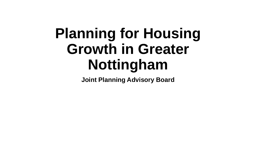# **Planning for Housing Growth in Greater Nottingham**

**Joint Planning Advisory Board**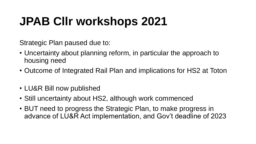# **JPAB Cllr workshops 2021**

Strategic Plan paused due to:

- Uncertainty about planning reform, in particular the approach to housing need
- Outcome of Integrated Rail Plan and implications for HS2 at Toton
- LU&R Bill now published
- Still uncertainty about HS2, although work commenced
- BUT need to progress the Strategic Plan, to make progress in advance of LU&R Act implementation, and Gov't deadline of 2023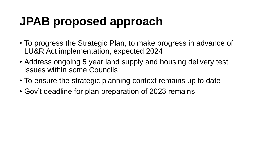# **JPAB proposed approach**

- To progress the Strategic Plan, to make progress in advance of LU&R Act implementation, expected 2024
- Address ongoing 5 year land supply and housing delivery test issues within some Councils
- To ensure the strategic planning context remains up to date
- Gov't deadline for plan preparation of 2023 remains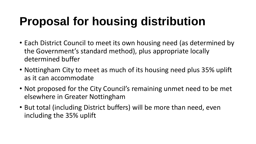# **Proposal for housing distribution**

- Each District Council to meet its own housing need (as determined by the Government's standard method), plus appropriate locally determined buffer
- Nottingham City to meet as much of its housing need plus 35% uplift as it can accommodate
- Not proposed for the City Council's remaining unmet need to be met elsewhere in Greater Nottingham
- But total (including District buffers) will be more than need, even including the 35% uplift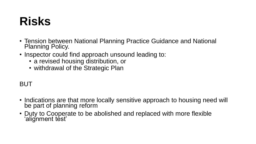### **Risks**

- Tension between National Planning Practice Guidance and National Planning Policy.
- Inspector could find approach unsound leading to:
	- a revised housing distribution, or
	- withdrawal of the Strategic Plan

#### BUT

- Indications are that more locally sensitive approach to housing need will be part of planning reform
- Duty to Cooperate to be abolished and replaced with more flexible 'alignment test'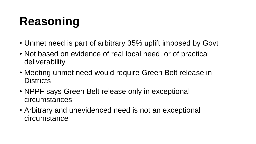# **Reasoning**

- Unmet need is part of arbitrary 35% uplift imposed by Govt
- Not based on evidence of real local need, or of practical deliverability
- Meeting unmet need would require Green Belt release in **Districts**
- NPPF says Green Belt release only in exceptional circumstances
- Arbitrary and unevidenced need is not an exceptional circumstance